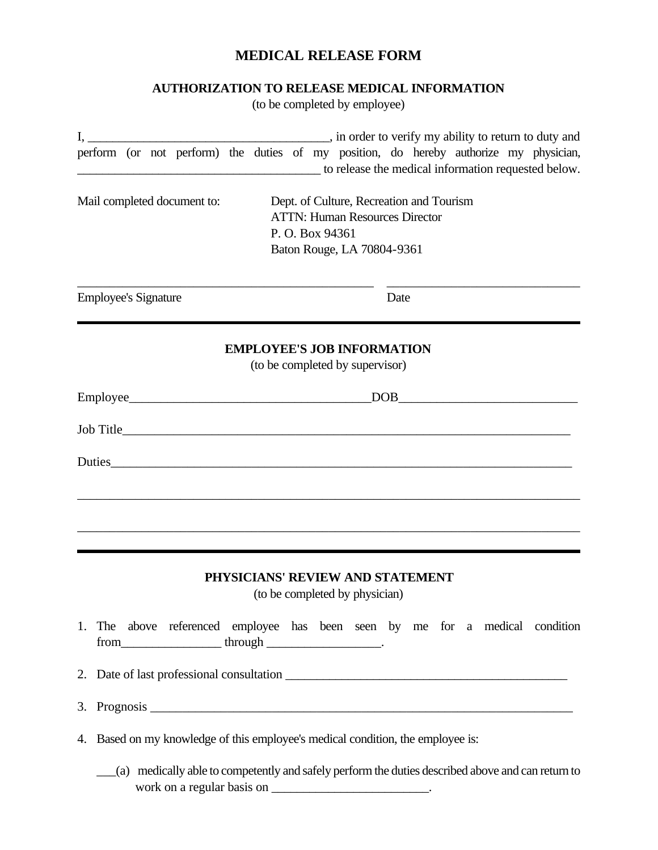## **MEDICAL RELEASE FORM**

## **AUTHORIZATION TO RELEASE MEDICAL INFORMATION**

(to be completed by employee)

|    | perform (or not perform) the duties of my position, do hereby authorize my physician,<br>to release the medical information requested below.                      |
|----|-------------------------------------------------------------------------------------------------------------------------------------------------------------------|
|    | Mail completed document to:<br>Dept. of Culture, Recreation and Tourism                                                                                           |
|    | <b>ATTN: Human Resources Director</b>                                                                                                                             |
|    | P. O. Box 94361                                                                                                                                                   |
|    | Baton Rouge, LA 70804-9361                                                                                                                                        |
|    | <b>Employee's Signature</b><br>Date                                                                                                                               |
|    | <b>EMPLOYEE'S JOB INFORMATION</b>                                                                                                                                 |
|    | (to be completed by supervisor)                                                                                                                                   |
|    |                                                                                                                                                                   |
|    |                                                                                                                                                                   |
|    |                                                                                                                                                                   |
|    |                                                                                                                                                                   |
|    |                                                                                                                                                                   |
|    |                                                                                                                                                                   |
|    | PHYSICIANS' REVIEW AND STATEMENT                                                                                                                                  |
|    | (to be completed by physician)                                                                                                                                    |
|    | 1. The above referenced employee has been seen by me for a medical condition                                                                                      |
|    |                                                                                                                                                                   |
| 3. |                                                                                                                                                                   |
|    | 4. Based on my knowledge of this employee's medical condition, the employee is:                                                                                   |
|    | (a) medically able to competently and safely perform the duties described above and can return to<br>work on a regular basis on ________________________________. |